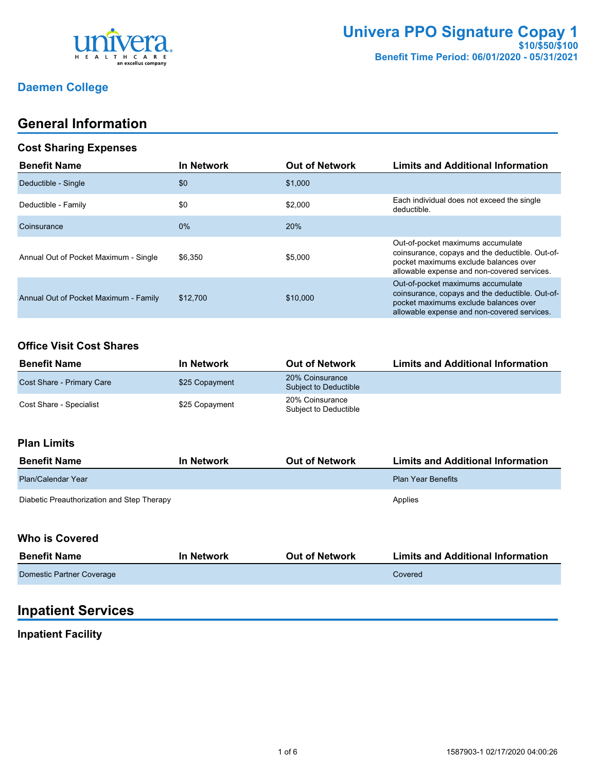

## **Daemen College**

# **General Information**

#### **Cost Sharing Expenses**

| <b>Benefit Name</b>                   | <b>In Network</b> | <b>Out of Network</b> | <b>Limits and Additional Information</b>                                                                                                                                     |
|---------------------------------------|-------------------|-----------------------|------------------------------------------------------------------------------------------------------------------------------------------------------------------------------|
| Deductible - Single                   | \$0               | \$1,000               |                                                                                                                                                                              |
| Deductible - Family                   | \$0               | \$2,000               | Each individual does not exceed the single<br>deductible.                                                                                                                    |
| Coinsurance                           | 0%                | 20%                   |                                                                                                                                                                              |
| Annual Out of Pocket Maximum - Single | \$6.350           | \$5,000               | Out-of-pocket maximums accumulate<br>coinsurance, copays and the deductible. Out-of-<br>pocket maximums exclude balances over<br>allowable expense and non-covered services. |
| Annual Out of Pocket Maximum - Family | \$12,700          | \$10,000              | Out-of-pocket maximums accumulate<br>coinsurance, copays and the deductible. Out-of-<br>pocket maximums exclude balances over<br>allowable expense and non-covered services. |

#### **Office Visit Cost Shares**

| <b>Benefit Name</b>       | <b>In Network</b> | <b>Out of Network</b>                    | <b>Limits and Additional Information</b> |
|---------------------------|-------------------|------------------------------------------|------------------------------------------|
| Cost Share - Primary Care | \$25 Copayment    | 20% Coinsurance<br>Subject to Deductible |                                          |
| Cost Share - Specialist   | \$25 Copayment    | 20% Coinsurance<br>Subject to Deductible |                                          |

#### **Plan Limits**

| <b>Benefit Name</b>                        | In Network | <b>Out of Network</b> | <b>Limits and Additional Information</b> |
|--------------------------------------------|------------|-----------------------|------------------------------------------|
| Plan/Calendar Year                         |            |                       | <b>Plan Year Benefits</b>                |
| Diabetic Preauthorization and Step Therapy |            |                       | Applies                                  |

#### **Who is Covered**

| <b>Benefit Name</b>       | <b>In Network</b> | <b>Out of Network</b> | <b>Limits and Additional Information</b> |
|---------------------------|-------------------|-----------------------|------------------------------------------|
| Domestic Partner Coverage |                   |                       | Covered                                  |

## **Inpatient Services**

### **Inpatient Facility**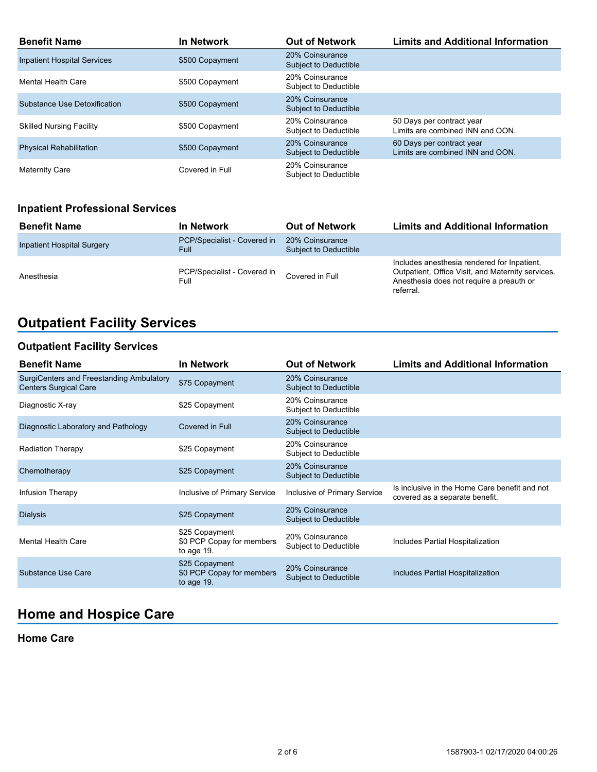| <b>Benefit Name</b>                | <b>In Network</b> | <b>Out of Network</b>                           | <b>Limits and Additional Information</b>                      |
|------------------------------------|-------------------|-------------------------------------------------|---------------------------------------------------------------|
| <b>Inpatient Hospital Services</b> | \$500 Copayment   | 20% Coinsurance<br><b>Subject to Deductible</b> |                                                               |
| Mental Health Care                 | \$500 Copayment   | 20% Coinsurance<br>Subject to Deductible        |                                                               |
| Substance Use Detoxification       | \$500 Copayment   | 20% Coinsurance<br><b>Subject to Deductible</b> |                                                               |
| <b>Skilled Nursing Facility</b>    | \$500 Copayment   | 20% Coinsurance<br>Subject to Deductible        | 50 Days per contract year<br>Limits are combined INN and OON. |
| <b>Physical Rehabilitation</b>     | \$500 Copayment   | 20% Coinsurance<br>Subject to Deductible        | 60 Days per contract year<br>Limits are combined INN and OON. |
| <b>Maternity Care</b>              | Covered in Full   | 20% Coinsurance<br>Subject to Deductible        |                                                               |

### **Inpatient Professional Services**

| <b>Benefit Name</b>               | In Network                                 | <b>Out of Network</b>                    | <b>Limits and Additional Information</b>                                                                                                                  |
|-----------------------------------|--------------------------------------------|------------------------------------------|-----------------------------------------------------------------------------------------------------------------------------------------------------------|
| <b>Inpatient Hospital Surgery</b> | PCP/Specialist - Covered in<br><b>Full</b> | 20% Coinsurance<br>Subject to Deductible |                                                                                                                                                           |
| Anesthesia                        | PCP/Specialist - Covered in<br>Full        | Covered in Full                          | Includes anesthesia rendered for Inpatient,<br>Outpatient, Office Visit, and Maternity services.<br>Anesthesia does not require a preauth or<br>referral. |

# **Outpatient Facility Services**

## **Outpatient Facility Services**

| <b>Benefit Name</b>                                                      | <b>In Network</b>                                            | <b>Out of Network</b>                    | <b>Limits and Additional Information</b>                                        |
|--------------------------------------------------------------------------|--------------------------------------------------------------|------------------------------------------|---------------------------------------------------------------------------------|
| SurgiCenters and Freestanding Ambulatory<br><b>Centers Surgical Care</b> | \$75 Copayment                                               | 20% Coinsurance<br>Subject to Deductible |                                                                                 |
| Diagnostic X-ray                                                         | \$25 Copayment                                               | 20% Coinsurance<br>Subject to Deductible |                                                                                 |
| Diagnostic Laboratory and Pathology                                      | Covered in Full                                              | 20% Coinsurance<br>Subject to Deductible |                                                                                 |
| <b>Radiation Therapy</b>                                                 | \$25 Copayment                                               | 20% Coinsurance<br>Subject to Deductible |                                                                                 |
| Chemotherapy                                                             | \$25 Copayment                                               | 20% Coinsurance<br>Subject to Deductible |                                                                                 |
| Infusion Therapy                                                         | Inclusive of Primary Service                                 | Inclusive of Primary Service             | Is inclusive in the Home Care benefit and not<br>covered as a separate benefit. |
| <b>Dialysis</b>                                                          | \$25 Copayment                                               | 20% Coinsurance<br>Subject to Deductible |                                                                                 |
| <b>Mental Health Care</b>                                                | \$25 Copayment<br>\$0 PCP Copay for members<br>to age $19$ . | 20% Coinsurance<br>Subject to Deductible | Includes Partial Hospitalization                                                |
| Substance Use Care                                                       | \$25 Copayment<br>\$0 PCP Copay for members<br>to age 19.    | 20% Coinsurance<br>Subject to Deductible | Includes Partial Hospitalization                                                |

# **Home and Hospice Care**

#### **Home Care**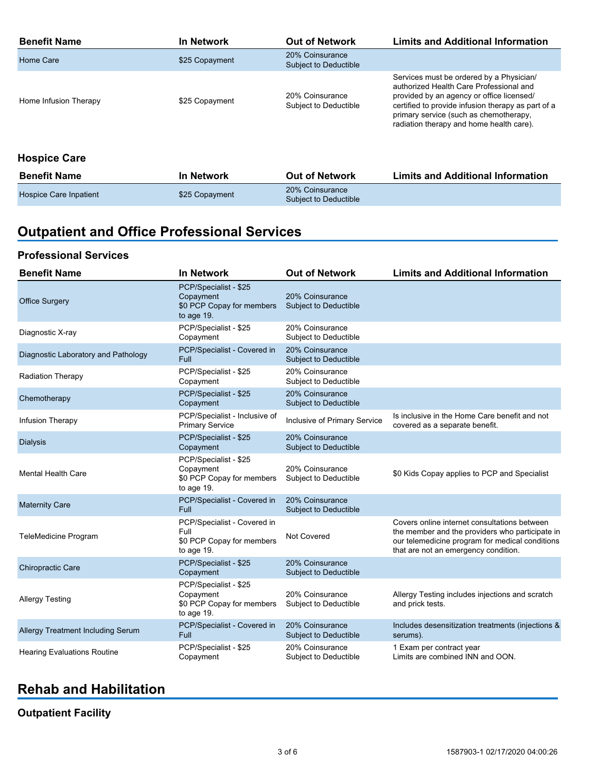| <b>Benefit Name</b>   | <b>In Network</b> | <b>Out of Network</b>                    | <b>Limits and Additional Information</b>                                                                                                                                                                                                                                     |
|-----------------------|-------------------|------------------------------------------|------------------------------------------------------------------------------------------------------------------------------------------------------------------------------------------------------------------------------------------------------------------------------|
| Home Care             | \$25 Copayment    | 20% Coinsurance<br>Subject to Deductible |                                                                                                                                                                                                                                                                              |
| Home Infusion Therapy | \$25 Copayment    | 20% Coinsurance<br>Subject to Deductible | Services must be ordered by a Physician/<br>authorized Health Care Professional and<br>provided by an agency or office licensed/<br>certified to provide infusion therapy as part of a<br>primary service (such as chemotherapy,<br>radiation therapy and home health care). |
| <b>Hospice Care</b>   |                   |                                          |                                                                                                                                                                                                                                                                              |

| <b>Benefit Name</b>    | In Network     | <b>Out of Network</b>                    | <b>Limits and Additional Information</b> |
|------------------------|----------------|------------------------------------------|------------------------------------------|
| Hospice Care Inpatient | \$25 Copayment | 20% Coinsurance<br>Subject to Deductible |                                          |

# **Outpatient and Office Professional Services**

#### **Professional Services**

| <b>Benefit Name</b>                 | <b>In Network</b>                                                               | <b>Out of Network</b>                    | <b>Limits and Additional Information</b>                                                                                                                                                   |
|-------------------------------------|---------------------------------------------------------------------------------|------------------------------------------|--------------------------------------------------------------------------------------------------------------------------------------------------------------------------------------------|
| <b>Office Surgery</b>               | PCP/Specialist - \$25<br>Copayment<br>\$0 PCP Copay for members<br>to age $19.$ | 20% Coinsurance<br>Subject to Deductible |                                                                                                                                                                                            |
| Diagnostic X-ray                    | PCP/Specialist - \$25<br>Copayment                                              | 20% Coinsurance<br>Subject to Deductible |                                                                                                                                                                                            |
| Diagnostic Laboratory and Pathology | PCP/Specialist - Covered in<br>Full                                             | 20% Coinsurance<br>Subject to Deductible |                                                                                                                                                                                            |
| <b>Radiation Therapy</b>            | PCP/Specialist - \$25<br>Copayment                                              | 20% Coinsurance<br>Subject to Deductible |                                                                                                                                                                                            |
| Chemotherapy                        | PCP/Specialist - \$25<br>Copayment                                              | 20% Coinsurance<br>Subject to Deductible |                                                                                                                                                                                            |
| Infusion Therapy                    | PCP/Specialist - Inclusive of<br><b>Primary Service</b>                         | Inclusive of Primary Service             | Is inclusive in the Home Care benefit and not<br>covered as a separate benefit.                                                                                                            |
| <b>Dialysis</b>                     | PCP/Specialist - \$25<br>Copayment                                              | 20% Coinsurance<br>Subject to Deductible |                                                                                                                                                                                            |
| <b>Mental Health Care</b>           | PCP/Specialist - \$25<br>Copayment<br>\$0 PCP Copay for members<br>to age 19.   | 20% Coinsurance<br>Subject to Deductible | \$0 Kids Copay applies to PCP and Specialist                                                                                                                                               |
| <b>Maternity Care</b>               | PCP/Specialist - Covered in<br><b>Full</b>                                      | 20% Coinsurance<br>Subject to Deductible |                                                                                                                                                                                            |
| <b>TeleMedicine Program</b>         | PCP/Specialist - Covered in<br>Full<br>\$0 PCP Copay for members<br>to age 19.  | Not Covered                              | Covers online internet consultations between<br>the member and the providers who participate in<br>our telemedicine program for medical conditions<br>that are not an emergency condition. |
| <b>Chiropractic Care</b>            | PCP/Specialist - \$25<br>Copayment                                              | 20% Coinsurance<br>Subject to Deductible |                                                                                                                                                                                            |
| <b>Allergy Testing</b>              | PCP/Specialist - \$25<br>Copayment<br>\$0 PCP Copay for members<br>to age 19.   | 20% Coinsurance<br>Subject to Deductible | Allergy Testing includes injections and scratch<br>and prick tests.                                                                                                                        |
| Allergy Treatment Including Serum   | PCP/Specialist - Covered in<br>Full                                             | 20% Coinsurance<br>Subject to Deductible | Includes desensitization treatments (injections &<br>serums).                                                                                                                              |
| <b>Hearing Evaluations Routine</b>  | PCP/Specialist - \$25<br>Copayment                                              | 20% Coinsurance<br>Subject to Deductible | 1 Exam per contract year<br>Limits are combined INN and OON.                                                                                                                               |

# **Rehab and Habilitation**

### **Outpatient Facility**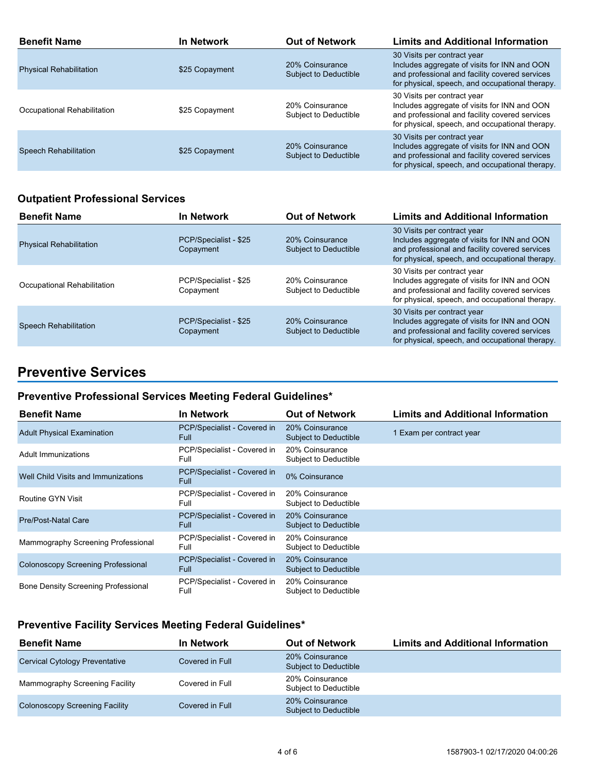| <b>Benefit Name</b>            | <b>In Network</b> | <b>Out of Network</b>                           | <b>Limits and Additional Information</b>                                                                                                                                         |
|--------------------------------|-------------------|-------------------------------------------------|----------------------------------------------------------------------------------------------------------------------------------------------------------------------------------|
| <b>Physical Rehabilitation</b> | \$25 Copayment    | 20% Coinsurance<br>Subject to Deductible        | 30 Visits per contract year<br>Includes aggregate of visits for INN and OON<br>and professional and facility covered services<br>for physical, speech, and occupational therapy. |
| Occupational Rehabilitation    | \$25 Copayment    | 20% Coinsurance<br>Subject to Deductible        | 30 Visits per contract year<br>Includes aggregate of visits for INN and OON<br>and professional and facility covered services<br>for physical, speech, and occupational therapy. |
| <b>Speech Rehabilitation</b>   | \$25 Copayment    | 20% Coinsurance<br><b>Subject to Deductible</b> | 30 Visits per contract year<br>Includes aggregate of visits for INN and OON<br>and professional and facility covered services<br>for physical, speech, and occupational therapy. |

#### **Outpatient Professional Services**

| <b>Benefit Name</b>            | <b>In Network</b>                  | <b>Out of Network</b>                           | <b>Limits and Additional Information</b>                                                                                                                                         |
|--------------------------------|------------------------------------|-------------------------------------------------|----------------------------------------------------------------------------------------------------------------------------------------------------------------------------------|
| <b>Physical Rehabilitation</b> | PCP/Specialist - \$25<br>Copayment | 20% Coinsurance<br><b>Subject to Deductible</b> | 30 Visits per contract year<br>Includes aggregate of visits for INN and OON<br>and professional and facility covered services<br>for physical, speech, and occupational therapy. |
| Occupational Rehabilitation    | PCP/Specialist - \$25<br>Copayment | 20% Coinsurance<br>Subject to Deductible        | 30 Visits per contract year<br>Includes aggregate of visits for INN and OON<br>and professional and facility covered services<br>for physical, speech, and occupational therapy. |
| Speech Rehabilitation          | PCP/Specialist - \$25<br>Copayment | 20% Coinsurance<br><b>Subject to Deductible</b> | 30 Visits per contract year<br>Includes aggregate of visits for INN and OON<br>and professional and facility covered services<br>for physical, speech, and occupational therapy. |

## **Preventive Services**

### **Preventive Professional Services Meeting Federal Guidelines\***

| <b>Benefit Name</b>                        | <b>In Network</b>                   | <b>Out of Network</b>                           | <b>Limits and Additional Information</b> |
|--------------------------------------------|-------------------------------------|-------------------------------------------------|------------------------------------------|
| <b>Adult Physical Examination</b>          | PCP/Specialist - Covered in<br>Full | 20% Coinsurance<br><b>Subject to Deductible</b> | 1 Exam per contract year                 |
| <b>Adult Immunizations</b>                 | PCP/Specialist - Covered in<br>Full | 20% Coinsurance<br>Subject to Deductible        |                                          |
| Well Child Visits and Immunizations        | PCP/Specialist - Covered in<br>Full | 0% Coinsurance                                  |                                          |
| Routine GYN Visit                          | PCP/Specialist - Covered in<br>Full | 20% Coinsurance<br>Subject to Deductible        |                                          |
| <b>Pre/Post-Natal Care</b>                 | PCP/Specialist - Covered in<br>Full | 20% Coinsurance<br>Subject to Deductible        |                                          |
| Mammography Screening Professional         | PCP/Specialist - Covered in<br>Full | 20% Coinsurance<br>Subject to Deductible        |                                          |
| <b>Colonoscopy Screening Professional</b>  | PCP/Specialist - Covered in<br>Full | 20% Coinsurance<br>Subject to Deductible        |                                          |
| <b>Bone Density Screening Professional</b> | PCP/Specialist - Covered in<br>Full | 20% Coinsurance<br>Subject to Deductible        |                                          |

## **Preventive Facility Services Meeting Federal Guidelines\***

| <b>Benefit Name</b>                   | In Network      | <b>Out of Network</b>                    | <b>Limits and Additional Information</b> |
|---------------------------------------|-----------------|------------------------------------------|------------------------------------------|
| <b>Cervical Cytology Preventative</b> | Covered in Full | 20% Coinsurance<br>Subject to Deductible |                                          |
| Mammography Screening Facility        | Covered in Full | 20% Coinsurance<br>Subject to Deductible |                                          |
| <b>Colonoscopy Screening Facility</b> | Covered in Full | 20% Coinsurance<br>Subject to Deductible |                                          |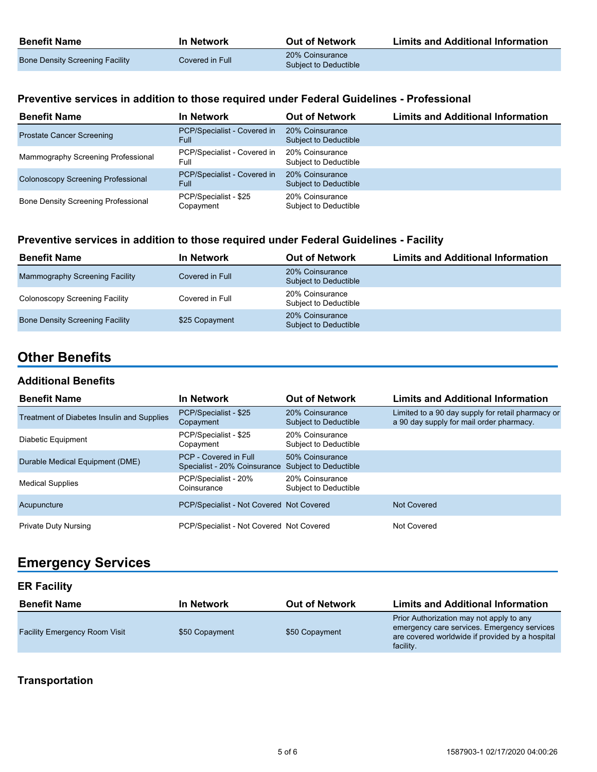| <b>Benefit Name</b>                    | In Network      | <b>Out of Network</b>                    | <b>Limits and Additional Information</b> |
|----------------------------------------|-----------------|------------------------------------------|------------------------------------------|
| <b>Bone Density Screening Facility</b> | Covered in Full | 20% Coinsurance<br>Subject to Deductible |                                          |

#### **Preventive services in addition to those required under Federal Guidelines - Professional**

| <b>Benefit Name</b>                        | <b>In Network</b>                          | <b>Out of Network</b>                    | <b>Limits and Additional Information</b> |
|--------------------------------------------|--------------------------------------------|------------------------------------------|------------------------------------------|
| <b>Prostate Cancer Screening</b>           | PCP/Specialist - Covered in<br><b>Full</b> | 20% Coinsurance<br>Subject to Deductible |                                          |
| Mammography Screening Professional         | PCP/Specialist - Covered in<br>Full        | 20% Coinsurance<br>Subject to Deductible |                                          |
| Colonoscopy Screening Professional         | PCP/Specialist - Covered in<br><b>Full</b> | 20% Coinsurance<br>Subject to Deductible |                                          |
| <b>Bone Density Screening Professional</b> | PCP/Specialist - \$25<br>Copayment         | 20% Coinsurance<br>Subject to Deductible |                                          |

#### **Preventive services in addition to those required under Federal Guidelines - Facility**

| <b>Benefit Name</b>                    | In Network      | <b>Out of Network</b>                    | <b>Limits and Additional Information</b> |
|----------------------------------------|-----------------|------------------------------------------|------------------------------------------|
| Mammography Screening Facility         | Covered in Full | 20% Coinsurance<br>Subject to Deductible |                                          |
| <b>Colonoscopy Screening Facility</b>  | Covered in Full | 20% Coinsurance<br>Subject to Deductible |                                          |
| <b>Bone Density Screening Facility</b> | \$25 Copayment  | 20% Coinsurance<br>Subject to Deductible |                                          |

## **Other Benefits**

#### **Additional Benefits**

| <b>Benefit Name</b>                               | <b>In Network</b>                                     | <b>Out of Network</b>                    | <b>Limits and Additional Information</b>                                                      |
|---------------------------------------------------|-------------------------------------------------------|------------------------------------------|-----------------------------------------------------------------------------------------------|
| <b>Treatment of Diabetes Insulin and Supplies</b> | PCP/Specialist - \$25<br>Copayment                    | 20% Coinsurance<br>Subject to Deductible | Limited to a 90 day supply for retail pharmacy or<br>a 90 day supply for mail order pharmacy. |
| Diabetic Equipment                                | PCP/Specialist - \$25<br>Copayment                    | 20% Coinsurance<br>Subject to Deductible |                                                                                               |
| Durable Medical Equipment (DME)                   | PCP - Covered in Full<br>Specialist - 20% Coinsurance | 50% Coinsurance<br>Subject to Deductible |                                                                                               |
| <b>Medical Supplies</b>                           | PCP/Specialist - 20%<br>Coinsurance                   | 20% Coinsurance<br>Subject to Deductible |                                                                                               |
| Acupuncture                                       | PCP/Specialist - Not Covered Not Covered              |                                          | Not Covered                                                                                   |
| Private Duty Nursing                              | PCP/Specialist - Not Covered Not Covered              |                                          | Not Covered                                                                                   |

## **Emergency Services**

| <b>ER Facility</b>                   |                   |                       |                                                                                                                                                         |  |
|--------------------------------------|-------------------|-----------------------|---------------------------------------------------------------------------------------------------------------------------------------------------------|--|
| <b>Benefit Name</b>                  | <b>In Network</b> | <b>Out of Network</b> | <b>Limits and Additional Information</b>                                                                                                                |  |
| <b>Facility Emergency Room Visit</b> | \$50 Copayment    | \$50 Copayment        | Prior Authorization may not apply to any<br>emergency care services. Emergency services<br>are covered worldwide if provided by a hospital<br>facility. |  |

#### **Transportation**